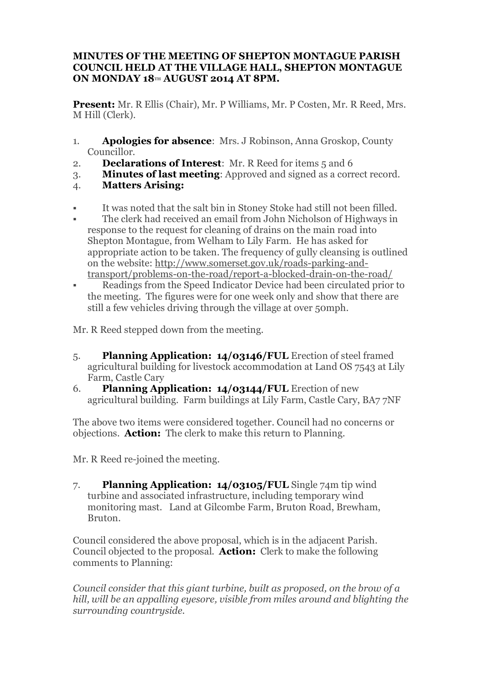## **MINUTES OF THE MEETING OF SHEPTON MONTAGUE PARISH COUNCIL HELD AT THE VILLAGE HALL, SHEPTON MONTAGUE ON MONDAY 18TH AUGUST 2014 AT 8PM.**

**Present:** Mr. R Ellis (Chair), Mr. P Williams, Mr. P Costen, Mr. R Reed, Mrs. M Hill (Clerk).

- 1. **Apologies for absence**: Mrs. J Robinson, Anna Groskop, County Councillor.
- 2. **Declarations of Interest**: Mr. R Reed for items 5 and 6
- 3. **Minutes of last meeting**: Approved and signed as a correct record.
- 4. **Matters Arising:**
- § It was noted that the salt bin in Stoney Stoke had still not been filled.
- The clerk had received an email from John Nicholson of Highways in response to the request for cleaning of drains on the main road into Shepton Montague, from Welham to Lily Farm. He has asked for appropriate action to be taken. The frequency of gully cleansing is outlined on the website: http://www.somerset.gov.uk/roads-parking-andtransport/problems-on-the-road/report-a-blocked-drain-on-the-road/
- Readings from the Speed Indicator Device had been circulated prior to the meeting. The figures were for one week only and show that there are still a few vehicles driving through the village at over 50mph.

Mr. R Reed stepped down from the meeting.

- 5. **Planning Application: 14/03146/FUL** Erection of steel framed agricultural building for livestock accommodation at Land OS 7543 at Lily Farm, Castle Cary
- 6. **Planning Application: 14/03144/FUL** Erection of new agricultural building. Farm buildings at Lily Farm, Castle Cary, BA7 7NF

The above two items were considered together. Council had no concerns or objections. **Action:** The clerk to make this return to Planning.

Mr. R Reed re-joined the meeting.

7. **Planning Application: 14/03105/FUL** Single 74m tip wind turbine and associated infrastructure, including temporary wind monitoring mast. Land at Gilcombe Farm, Bruton Road, Brewham, Bruton.

Council considered the above proposal, which is in the adjacent Parish. Council objected to the proposal. **Action:** Clerk to make the following comments to Planning:

*Council consider that this giant turbine, built as proposed, on the brow of a hill, will be an appalling eyesore, visible from miles around and blighting the surrounding countryside.*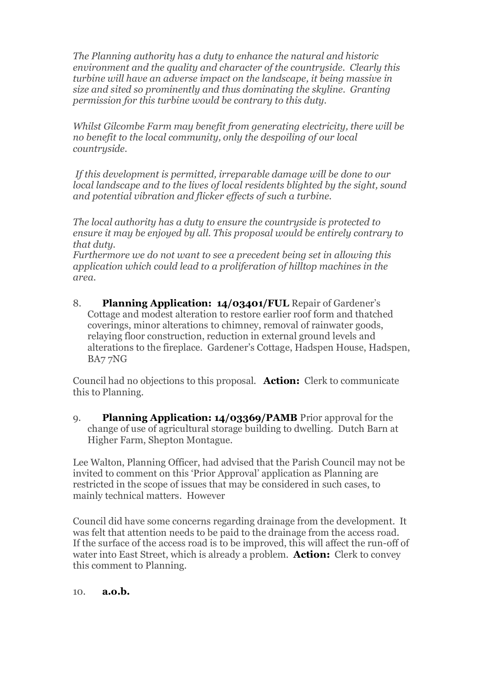*The Planning authority has a duty to enhance the natural and historic environment and the quality and character of the countryside. Clearly this turbine will have an adverse impact on the landscape, it being massive in size and sited so prominently and thus dominating the skyline. Granting permission for this turbine would be contrary to this duty.*

*Whilst Gilcombe Farm may benefit from generating electricity, there will be no benefit to the local community, only the despoiling of our local countryside.*

 *If this development is permitted, irreparable damage will be done to our local landscape and to the lives of local residents blighted by the sight, sound and potential vibration and flicker effects of such a turbine.*

*The local authority has a duty to ensure the countryside is protected to ensure it may be enjoyed by all. This proposal would be entirely contrary to that duty.*

*Furthermore we do not want to see a precedent being set in allowing this application which could lead to a proliferation of hilltop machines in the area.*

8. **Planning Application: 14/03401/FUL** Repair of Gardener's Cottage and modest alteration to restore earlier roof form and thatched coverings, minor alterations to chimney, removal of rainwater goods, relaying floor construction, reduction in external ground levels and alterations to the fireplace. Gardener's Cottage, Hadspen House, Hadspen, BA7 7NG

Council had no objections to this proposal. **Action:** Clerk to communicate this to Planning.

9. **Planning Application: 14/03369/PAMB** Prior approval for the change of use of agricultural storage building to dwelling. Dutch Barn at Higher Farm, Shepton Montague.

Lee Walton, Planning Officer, had advised that the Parish Council may not be invited to comment on this 'Prior Approval' application as Planning are restricted in the scope of issues that may be considered in such cases, to mainly technical matters. However

Council did have some concerns regarding drainage from the development. It was felt that attention needs to be paid to the drainage from the access road. If the surface of the access road is to be improved, this will affect the run-off of water into East Street, which is already a problem. **Action:** Clerk to convey this comment to Planning.

## 10. **a.o.b.**